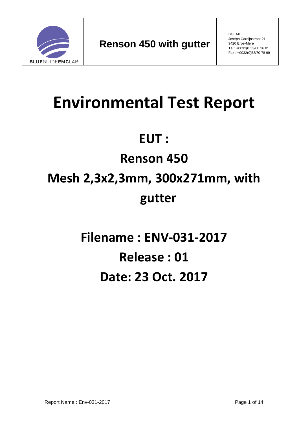

BGEMC Joseph Cardijnstraat 21 9420 Erpe-Mere Tel : +0032(0)53/60 16 01 Fax : +0032(0)53/70 78 99

# **Environmental Test Report**

# **EUT :**

# **Renson 450**

# **Mesh 2,3x2,3mm, 300x271mm, with gutter**

**Filename : ENV-031-2017 Release : 01 Date: 23 Oct. 2017**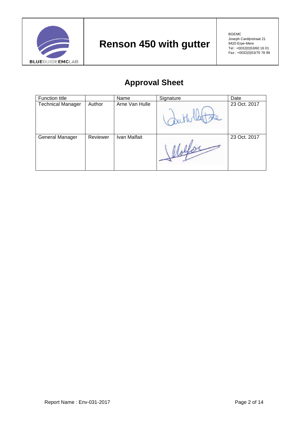

### **Approval Sheet**

| Function title           |          | Name           | Signature | Date         |
|--------------------------|----------|----------------|-----------|--------------|
| <b>Technical Manager</b> | Author   | Arne Van Hulle |           | 23 Oct. 2017 |
| General Manager          | Reviewer | Ivan Malfait   |           | 23 Oct. 2017 |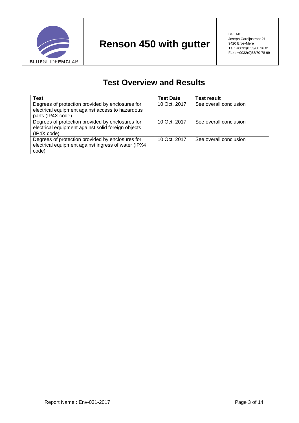

#### **Test Overview and Results**

| <b>Test</b>                                                                                          | <b>Test Date</b> | <b>Test result</b>     |
|------------------------------------------------------------------------------------------------------|------------------|------------------------|
| Degrees of protection provided by enclosures for<br>electrical equipment against access to hazardous | 10 Oct. 2017     | See overall conclusion |
| parts (IP4X code)                                                                                    |                  |                        |
| Degrees of protection provided by enclosures for                                                     | 10 Oct. 2017     | See overall conclusion |
| electrical equipment against solid foreign objects                                                   |                  |                        |
| (IP4X code)                                                                                          |                  |                        |
| Degrees of protection provided by enclosures for                                                     | 10 Oct. 2017     | See overall conclusion |
| electrical equipment against ingress of water (IPX4                                                  |                  |                        |
| code)                                                                                                |                  |                        |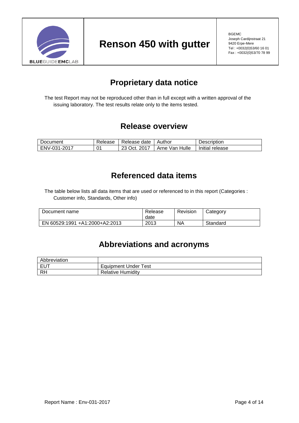

#### **Proprietary data notice**

The test Report may not be reproduced other than in full except with a written approval of the issuing laboratory. The test results relate only to the items tested.

#### **Release overview**

| Document     | Release | Release date | Author         | Description     |
|--------------|---------|--------------|----------------|-----------------|
| ENV-031-2017 | 01      | 23 Oct. 2017 | Arne Van Hulle | Initial release |

#### **Referenced data items**

The table below lists all data items that are used or referenced to in this report (Categories : Customer info, Standards, Other info)

| Document name                  | Release<br>date | Revision | Category |
|--------------------------------|-----------------|----------|----------|
| EN 60529:1991 +A1:2000+A2:2013 | 2013            | NA       | Standard |

#### **Abbreviations and acronyms**

| Abbreviation |                             |
|--------------|-----------------------------|
| I EUT        | <b>Equipment Under Test</b> |
| <b>RH</b>    | <b>Relative Humidity</b>    |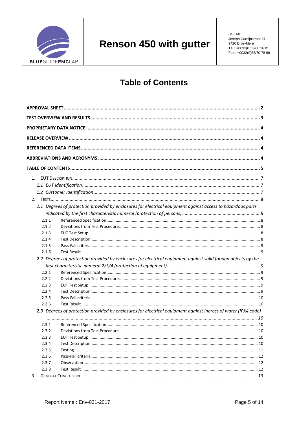

**BGEMC** Joseph Cardijnstraat 21 9420 Erpe-Mere Tel: +0032(0)53/60 16 01 Fax: +0032(0)53/70 78 99

#### **Table of Contents**

| 1.    |                                                                                                                |  |
|-------|----------------------------------------------------------------------------------------------------------------|--|
|       |                                                                                                                |  |
|       |                                                                                                                |  |
|       |                                                                                                                |  |
|       | 2.1 Degrees of protection provided by enclosures for electrical equipment against access to hazardous parts    |  |
|       |                                                                                                                |  |
| 2.1.1 |                                                                                                                |  |
| 2.1.2 |                                                                                                                |  |
| 2.1.3 |                                                                                                                |  |
| 2.1.4 |                                                                                                                |  |
| 2.1.5 |                                                                                                                |  |
| 2.1.6 |                                                                                                                |  |
|       | 2.2 Degrees of protection provided by enclosures for electrical equipment against solid foreign objects by the |  |
|       |                                                                                                                |  |
| 2.2.1 |                                                                                                                |  |
| 2.2.2 |                                                                                                                |  |
| 2.2.3 |                                                                                                                |  |
| 2.2.4 |                                                                                                                |  |
| 2.2.5 |                                                                                                                |  |
| 2.2.6 |                                                                                                                |  |
|       | 2.3 Degrees of protection provided by enclosures for electrical equipment against ingress of water (IPX4 code) |  |
| 2.3.1 |                                                                                                                |  |
| 2.3.2 |                                                                                                                |  |
| 2.3.3 |                                                                                                                |  |
| 2.3.4 |                                                                                                                |  |
| 2.3.5 |                                                                                                                |  |
| 2.3.6 |                                                                                                                |  |
| 2.3.7 |                                                                                                                |  |
| 2.3.8 |                                                                                                                |  |
| 3.    |                                                                                                                |  |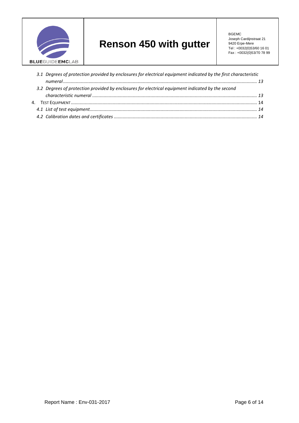

BGEMC Joseph Cardijnstraat 21 9420 Erpe-Mere Tel : +0032(0)53/60 16 01 Fax : +0032(0)53/70 78 99

| 3.1 Degrees of protection provided by enclosures for electrical equipment indicated by the first characteristic |  |
|-----------------------------------------------------------------------------------------------------------------|--|
|                                                                                                                 |  |
| 3.2 Degrees of protection provided by enclosures for electrical equipment indicated by the second               |  |
|                                                                                                                 |  |
|                                                                                                                 |  |
|                                                                                                                 |  |
|                                                                                                                 |  |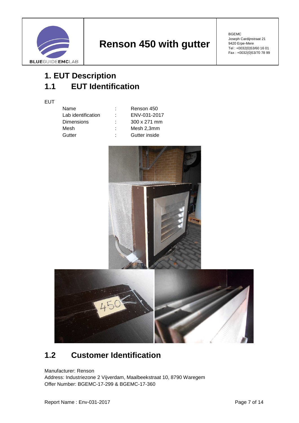

BGEMC Joseph Cardijnstraat 21 9420 Erpe-Mere Tel : +0032(0)53/60 16 01 Fax : +0032(0)53/70 78 99

## **1. EUT Description 1.1 EUT Identification**

**EUT** 

| Name               | ٠  | Renson 450          |
|--------------------|----|---------------------|
| Lab identification | ٠  | ENV-031-2017        |
| <b>Dimensions</b>  |    | $300 \times 271$ mm |
| Mesh               |    | Mesh 2,3mm          |
| Gutter             | ٠. | Gutter inside       |
|                    |    |                     |





#### **1.2 Customer Identification**

Manufacturer: Renson

Address: Industriezone 2 Vijverdam, Maalbeekstraat 10, 8790 Waregem Offer Number: BGEMC-17-299 & BGEMC-17-360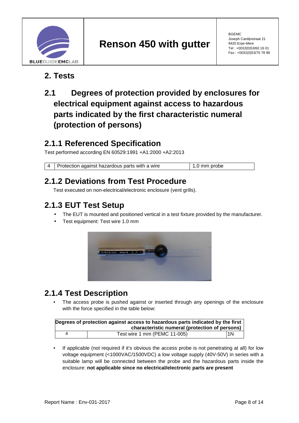

#### **2. Tests**

#### **2.1 Degrees of protection provided by enclosures for electrical equipment against access to hazardous parts indicated by the first characteristic numeral (protection of persons)**

#### **2.1.1 Referenced Specification**

Test performed according EN 60529:1991 +A1:2000 +A2:2013

4 | Protection against hazardous parts with a wire 1,0 mm probe

#### **2.1.2 Deviations from Test Procedure**

Test executed on non-electrical/electronic enclosure (vent grills).

#### **2.1.3 EUT Test Setup**

- The EUT is mounted and positioned vertical in a test fixture provided by the manufacturer.
- Test equipment: Test wire 1.0 mm



#### **2.1.4 Test Description**

The access probe is pushed against or inserted through any openings of the enclosure with the force specified in the table below:

| Degrees of protection against access to hazardous parts indicated by the first |                              |     |  |
|--------------------------------------------------------------------------------|------------------------------|-----|--|
| characteristic numeral (protection of persons)                                 |                              |     |  |
|                                                                                | Test wire 1 mm (PEMC 11-005) | l1N |  |

If applicable (not required if it's obvious the access probe is not penetrating at all) for low voltage equipment (<1000VAC/1500VDC) a low voltage supply (40V-50V) in series with a suitable lamp will be connected between the probe and the hazardous parts inside the enclosure: **not applicable since no electrical/electronic parts are present**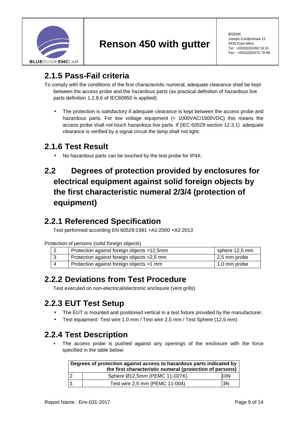

BGEMC Joseph Cardijnstraat 21 9420 Erpe-Mere Tel : +0032(0)53/60 16 01 Fax : +0032(0)53/70 78 99

#### **2.1.5 Pass-Fail criteria**

To comply with the conditions of the first characteristic numeral, adequate clearance shall be kept between the access probe and the hazardous parts (as practical definition of hazardous live parts definition 1.2.8.6 of IEC60950 is applied):

• The protection is satisfactory if adequate clearance is kept between the access probe and hazardous parts. For low voltage equipment (< 1000VAC/1500VDC) this means the access probe shall not touch hazardous live parts. If (IEC 60529 section 12.3.1) adequate clearance is verified by a signal circuit the lamp shall not light.

#### **2.1.6 Test Result**

• No hazardous parts can be touched by the test probe for IP4X.

#### **2.2 Degrees of protection provided by enclosures for electrical equipment against solid foreign objects by the first characteristic numeral 2/3/4 (protection of equipment)**

#### **2.2.1 Referenced Specification**

Test performed according EN 60529:1991 +A1:2000 +A2:2013

Protection of persons (solid foreign objects)

| Protection against foreign objects >12,5mm  | sphere 12,5 mm       |
|---------------------------------------------|----------------------|
| Protection against foreign objects > 2,5 mm | $\vert$ 2,5 mm probe |
| Protection against foreign objects >1 mm    | 1,0 mm probe         |

#### **2.2.2 Deviations from Test Procedure**

Test executed on non-electrical/electronic enclosure (vent grills).

#### **2.2.3 EUT Test Setup**

- The EUT is mounted and positioned vertical in a test fixture provided by the manufacturer.
- Test equipment: Test wire 1.0 mm / Test wire 2,5 mm / Test Sphere (12,5 mm)

#### **2.2.4 Test Description**

The access probe is pushed against any openings of the enclosure with the force specified in the table below:

| Degrees of protection against access to hazardous parts indicated by<br>the first characteristic numeral (protection of persons) |                                |     |
|----------------------------------------------------------------------------------------------------------------------------------|--------------------------------|-----|
|                                                                                                                                  | Sphere Ø12,5mm (PEMC 11-027K)  | 10N |
|                                                                                                                                  | Test wire 2,5 mm (PEMC 11-004) | 3N  |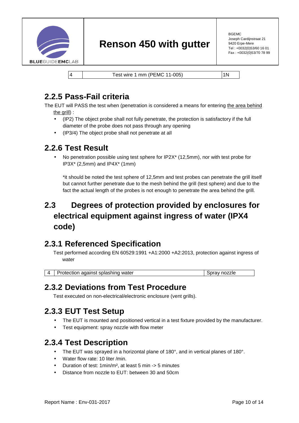

BGEMC Joseph Cardijnstraat 21 9420 Erpe-Mere Tel : +0032(0)53/60 16 01 Fax : +0032(0)53/70 78 99

|4 | Test wire 1 mm (PEMC 11-005) | 1N

#### **2.2.5 Pass-Fail criteria**

The EUT will PASS the test when (penetration is considered a means for entering the area behind the grill) :

- (IP2) The object probe shall not fully penetrate, the protection is satisfactory if the full diameter of the probe does not pass through any opening
- (IP3/4) The object probe shall not penetrate at all

#### **2.2.6 Test Result**

• No penetration possible using test sphere for IP2X\* (12,5mm), nor with test probe for IP3X\* (2,5mm) and IP4X\* (1mm)

\*it should be noted the test sphere of 12,5mm and test probes can penetrate the grill itself but cannot further penetrate due to the mesh behind the grill (test sphere) and due to the fact the actual length of the probes is not enough to penetrate the area behind the grill.

#### **2.3 Degrees of protection provided by enclosures for electrical equipment against ingress of water (IPX4 code)**

#### **2.3.1 Referenced Specification**

Test performed according EN 60529:1991 +A1:2000 +A2:2013, protection against ingress of water

| 4   Protection against splashing water | Spray nozzle |
|----------------------------------------|--------------|

#### **2.3.2 Deviations from Test Procedure**

Test executed on non-electrical/electronic enclosure (vent grills).

#### **2.3.3 EUT Test Setup**

- The EUT is mounted and positioned vertical in a test fixture provided by the manufacturer.
- Test equipment: spray nozzle with flow meter

#### **2.3.4 Test Description**

- The EUT was sprayed in a horizontal plane of 180°, and in vertical planes of 180°.
- Water flow rate: 10 liter /min.
- Duration of test: 1min/m², at least 5 min -> 5 minutes
- Distance from nozzle to EUT: between 30 and 50cm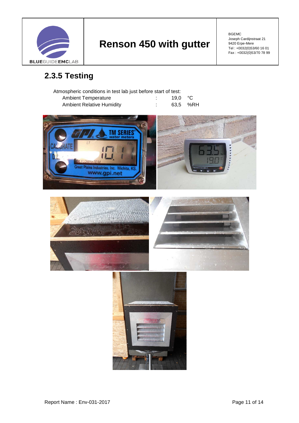

BGEMC Joseph Cardijnstraat 21 9420 Erpe-Mere Tel : +0032(0)53/60 16 01 Fax : +0032(0)53/70 78 99

## **2.3.5 Testing**

| Atmospheric conditions in test lab just before start of test: |  |                  |          |  |
|---------------------------------------------------------------|--|------------------|----------|--|
| <b>Ambient Temperature</b>                                    |  | 19.0 $\degree$ C |          |  |
| <b>Ambient Relative Humidity</b>                              |  |                  | 63.5 %RH |  |

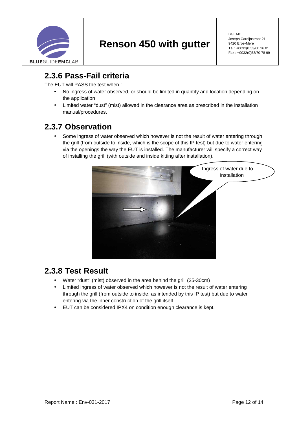

BGEMC Joseph Cardijnstraat 21 9420 Erpe-Mere Tel : +0032(0)53/60 16 01 Fax : +0032(0)53/70 78 99

#### **2.3.6 Pass-Fail criteria**

The EUT will PASS the test when :

- No ingress of water observed, or should be limited in quantity and location depending on the application
- Limited water "dust" (mist) allowed in the clearance area as prescribed in the installation manual/procedures.

#### **2.3.7 Observation**

Some ingress of water observed which however is not the result of water entering through the grill (from outside to inside, which is the scope of this IP test) but due to water entering via the openings the way the EUT is installed. The manufacturer will specify a correct way of installing the grill (with outside and inside kitting after installation).



#### **2.3.8 Test Result**

- Water "dust" (mist) observed in the area behind the grill (25-30cm)
- Limited ingress of water observed which however is not the result of water entering through the grill (from outside to inside, as intended by this IP test) but due to water entering via the inner construction of the grill itself.
- EUT can be considered IPX4 on condition enough clearance is kept.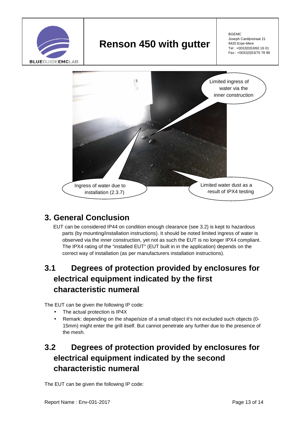

BGEMC Joseph Cardijnstraat 21 9420 Erpe-Mere Tel : +0032(0)53/60 16 01 Fax : +0032(0)53/70 78 99



#### **3. General Conclusion**

EUT can be considered IP44 on condition enough clearance (see 3.2) is kept to hazardous parts (by mounting/installation instructions). It should be noted limited ingress of water is observed via the inner construction, yet not as such the EUT is no longer IPX4 compliant. The IPX4 rating of the "installed EUT" (EUT built in in the application) depends on the correct way of installation (as per manufacturers installation instructions).

#### **3.1 Degrees of protection provided by enclosures for electrical equipment indicated by the first characteristic numeral**

The EUT can be given the following IP code:

- The actual protection is IP4X
- Remark: depending on the shape/size of a small object it's not excluded such objects (0- 15mm) might enter the grill itself. But cannot penetrate any further due to the presence of the mesh.

#### **3.2 Degrees of protection provided by enclosures for electrical equipment indicated by the second characteristic numeral**

The EUT can be given the following IP code: